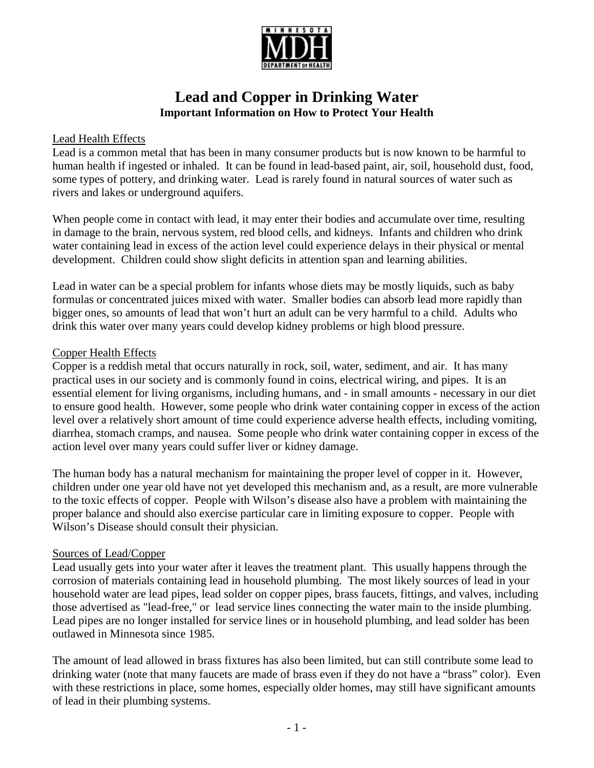

# **Lead and Copper in Drinking Water Important Information on How to Protect Your Health**

## Lead Health Effects

Lead is a common metal that has been in many consumer products but is now known to be harmful to human health if ingested or inhaled. It can be found in lead-based paint, air, soil, household dust, food, some types of pottery, and drinking water. Lead is rarely found in natural sources of water such as rivers and lakes or underground aquifers.

When people come in contact with lead, it may enter their bodies and accumulate over time, resulting in damage to the brain, nervous system, red blood cells, and kidneys. Infants and children who drink water containing lead in excess of the action level could experience delays in their physical or mental development. Children could show slight deficits in attention span and learning abilities.

Lead in water can be a special problem for infants whose diets may be mostly liquids, such as baby formulas or concentrated juices mixed with water. Smaller bodies can absorb lead more rapidly than bigger ones, so amounts of lead that won't hurt an adult can be very harmful to a child. Adults who drink this water over many years could develop kidney problems or high blood pressure.

### Copper Health Effects

Copper is a reddish metal that occurs naturally in rock, soil, water, sediment, and air. It has many practical uses in our society and is commonly found in coins, electrical wiring, and pipes. It is an essential element for living organisms, including humans, and - in small amounts - necessary in our diet to ensure good health. However, some people who drink water containing copper in excess of the action level over a relatively short amount of time could experience adverse health effects, including vomiting, diarrhea, stomach cramps, and nausea. Some people who drink water containing copper in excess of the action level over many years could suffer liver or kidney damage.

The human body has a natural mechanism for maintaining the proper level of copper in it. However, children under one year old have not yet developed this mechanism and, as a result, are more vulnerable to the toxic effects of copper. People with Wilson's disease also have a problem with maintaining the proper balance and should also exercise particular care in limiting exposure to copper. People with Wilson's Disease should consult their physician.

#### Sources of Lead/Copper

Lead usually gets into your water after it leaves the treatment plant. This usually happens through the corrosion of materials containing lead in household plumbing. The most likely sources of lead in your household water are lead pipes, lead solder on copper pipes, brass faucets, fittings, and valves, including those advertised as "lead-free," or lead service lines connecting the water main to the inside plumbing. Lead pipes are no longer installed for service lines or in household plumbing, and lead solder has been outlawed in Minnesota since 1985.

The amount of lead allowed in brass fixtures has also been limited, but can still contribute some lead to drinking water (note that many faucets are made of brass even if they do not have a "brass" color). Even with these restrictions in place, some homes, especially older homes, may still have significant amounts of lead in their plumbing systems.